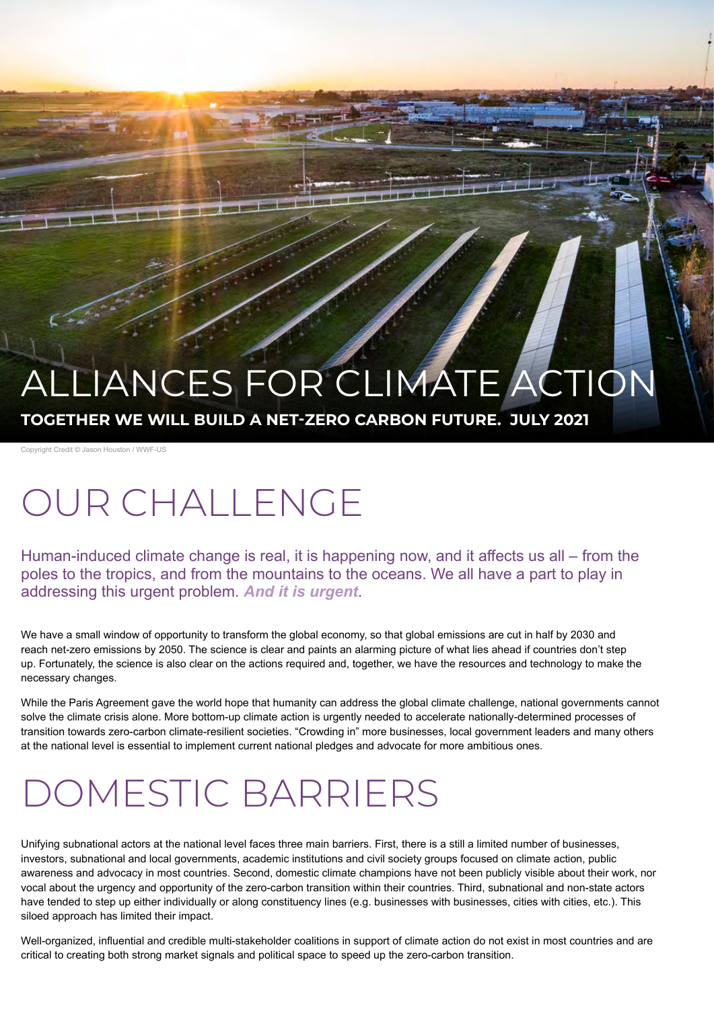# LIANCES FOR CLIMATE ACTION

**TOGETHER WE WILL BUILD A NET-ZERO CARBON FUTURE. JULY 2021**

Copyright Credit © Jason Houston / WWF-US

# OUR CHALLENGE

Human-induced climate change is real, it is happening now, and it affects us all – from the poles to the tropics, and from the mountains to the oceans. We all have a part to play in addressing this urgent problem. *And it is urgent*.

We have a small window of opportunity to transform the global economy, so that global emissions are cut in half by 2030 and reach net-zero emissions by 2050. The science is clear and paints an alarming picture of what lies ahead if countries don't step up. Fortunately, the science is also clear on the actions required and, together, we have the resources and technology to make the necessary changes.

While the Paris Agreement gave the world hope that humanity can address the global climate challenge, national governments cannot solve the climate crisis alone. More bottom-up climate action is urgently needed to accelerate nationally-determined processes of transition towards zero-carbon climate-resilient societies. "Crowding in" more businesses, local government leaders and many others at the national level is essential to implement current national pledges and advocate for more ambitious ones.

# DOMESTIC BARRIERS

Unifying subnational actors at the national level faces three main barriers. First, there is a still a limited number of businesses, investors, subnational and local governments, academic institutions and civil society groups focused on climate action, public awareness and advocacy in most countries. Second, domestic climate champions have not been publicly visible about their work, nor vocal about the urgency and opportunity of the zero-carbon transition within their countries. Third, subnational and non-state actors have tended to step up either individually or along constituency lines (e.g. businesses with businesses, cities with cities, etc.). This siloed approach has limited their impact.

Well-organized, influential and credible multi-stakeholder coalitions in support of climate action do not exist in most countries and are critical to creating both strong market signals and political space to speed up the zero-carbon transition.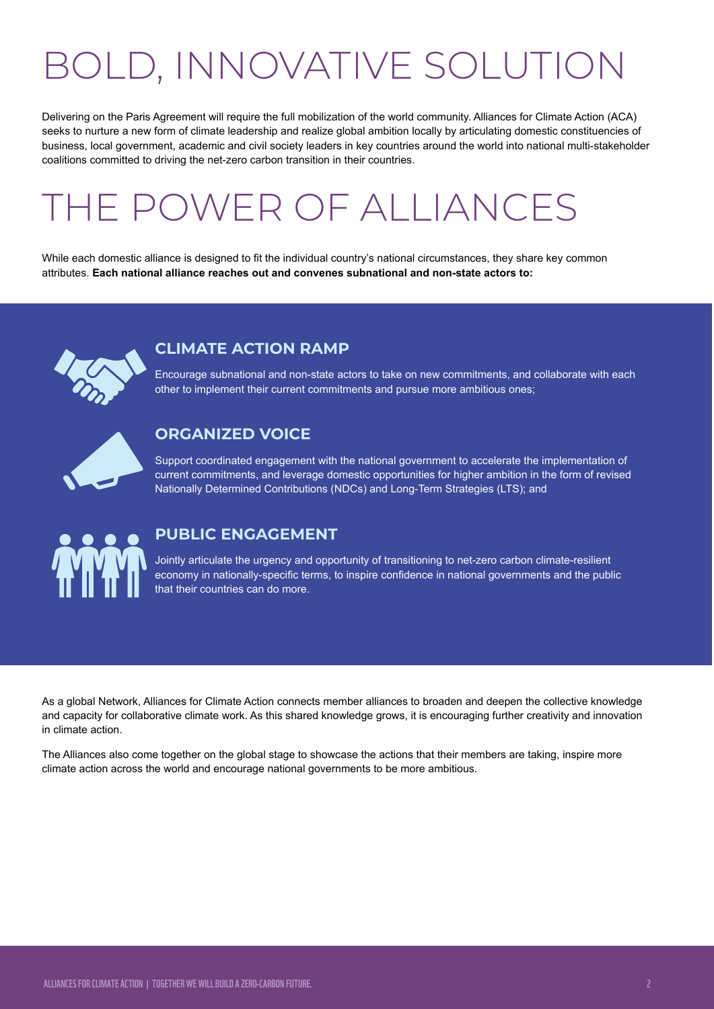# BOLD, INNOVATIVE SOLUTION

Delivering on the Paris Agreement will require the full mobilization of the world community. Alliances for Climate Action (ACA) seeks to nurture a new form of climate leadership and realize global ambition locally by articulating domestic constituencies of business, local government, academic and civil society leaders in key countries around the world into national multi-stakeholder coalitions committed to driving the net-zero carbon transition in their countries.

# THE POWER OF ALLIANCES

While each domestic alliance is designed to fit the individual country's national circumstances, they share key common attributes. **Each national alliance reaches out and convenes subnational and non-state actors to:** 



### **CLIMATE ACTION RAMP**

Encourage subnational and non-state actors to take on new commitments, and collaborate with each other to implement their current commitments and pursue more ambitious ones;



### **ORGANIZED VOICE**

Support coordinated engagement with the national government to accelerate the implementation of current commitments, and leverage domestic opportunities for higher ambition in the form of revised Nationally Determined Contributions (NDCs) and Long-Term Strategies (LTS); and



### **PUBLIC ENGAGEMENT**

Jointly articulate the urgency and opportunity of transitioning to net-zero carbon climate-resilient economy in nationally-specific terms, to inspire confidence in national governments and the public that their countries can do more.

As a global Network, Alliances for Climate Action connects member alliances to broaden and deepen the collective knowledge and capacity for collaborative climate work. As this shared knowledge grows, it is encouraging further creativity and innovation in climate action.

The Alliances also come together on the global stage to showcase the actions that their members are taking, inspire more climate action across the world and encourage national governments to be more ambitious.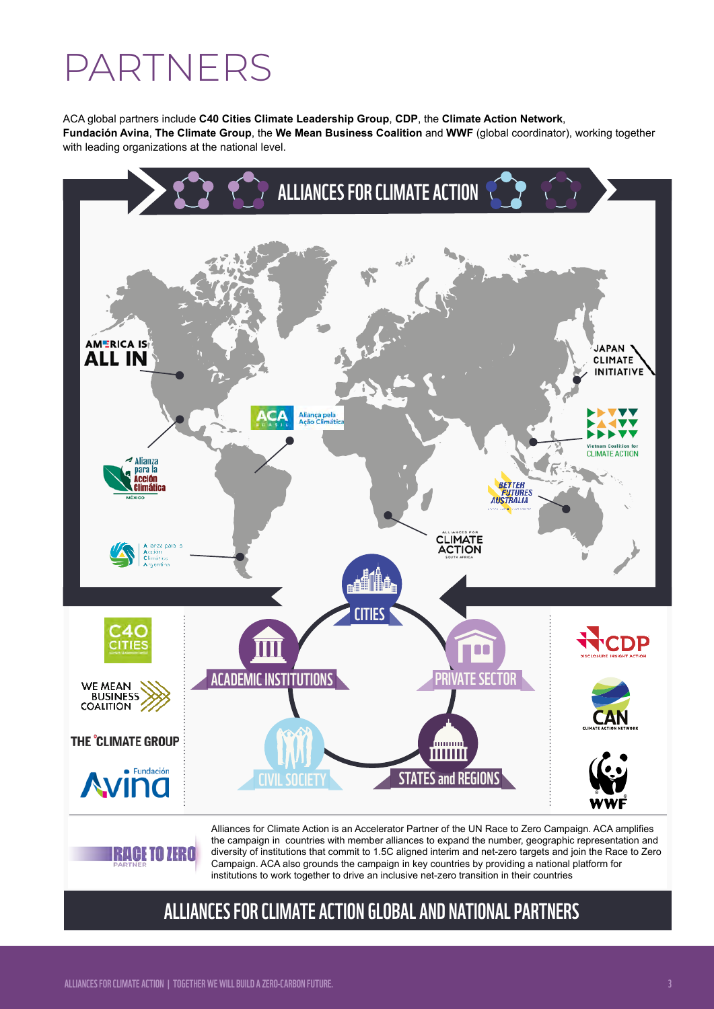# PARTNERS

ACA global partners include **[C40 Cities Climate Leadership Group](https://www.c40.org/)**, **[CDP](https://www.cdp.net/en)**, the **[Climate Action Network](http://www.climatenetwork.org/)**, **[Fundación Avina](http://www.avina.net/avina/en/)**, **[The Climate Group](https://www.theclimategroup.org/)**, the **[We Mean Business Coalition](https://www.wemeanbusinesscoalition.org/)** and **[WWF](http://wwf.panda.org/our_work/climate_and_energy/)** (global coordinator), working together with leading organizations at the national level.



the campaign in countries with member alliances to expand the number, geographic representation and diversity of institutions that commit to 1.5C aligned interim and net-zero targets and join the Race to Zero Campaign. ACA also grounds the campaign in key countries by providing a national platform for institutions to work together to drive an inclusive net-zero transition in their countries

# ALLIANCES FOR CLIMATE ACTION GLOBAL AND NATIONAL PARTNERS

GE TO ZERO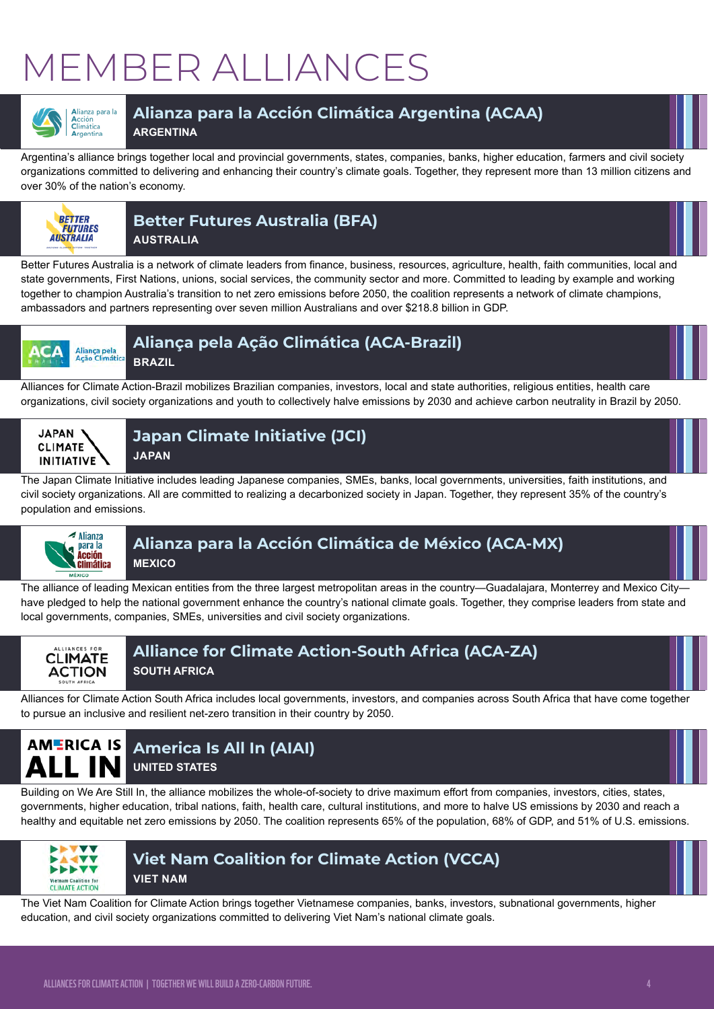# MEMBER ALLIANCES



## **[Alianza para la Acción Climática Argentina](https://www.alliancesforclimateaction.org/parcoalition-argentina.html) (ACAA)**

**ARGENTINA**

Argentina's alliance brings together local and provincial governments, states, companies, banks, higher education, farmers and civil society organizations committed to delivering and enhancing their country's climate goals. Together, they represent more than 13 million citizens and over 30% of the nation's economy.



## **Better Futures Australi[a \(BFA\)](https://japanclimate.org/english/)**

**AUSTRALIA**

Better Futures Australia is a network of climate leaders from finance, business, resources, agriculture, health, faith communities, local and state governments, First Nations, unions, social services, the community sector and more. Committed to leading by example and working together to champion Australia's transition to net zero emissions before 2050, the coalition represents a network of climate champions, ambassadors and partners representing over seven million Australians and over \$218.8 billion in GDP.



## **Aliança pela Ação Climática (ACA-Brazil)**

**BRAZIL**

Alliances for Climate Action-Brazil mobilizes Brazilian companies, investors, local and state authorities, religious entities, health care organizations, civil society organizations and youth to collectively halve emissions by 2030 and achieve carbon neutrality in Brazil by 2050.



**[Japan Climate Initiative \(JCI\)](https://japanclimate.org/english/) [JAPAN](https://japanclimate.org/english/)**

The Japan Climate Initiative includes leading Japanese companies, SMEs, banks, local governments, universities, faith institutions, and civil society organizations. All are committed to realizing a decarbonized society in Japan. Together, they represent 35% of the country's population and emissions.



### **[Alianza para la Acción Climática de México](https://www.alliancesforclimateaction.org/parcoalition-mexico.html) (ACA-MX) MEXICO**

The alliance of leading Mexican entities from the three largest metropolitan areas in the country—Guadalajara, Monterrey and Mexico City have pledged to help the national government enhance the country's national climate goals. Together, they comprise leaders from state and local governments, companies, SMEs, universities and civil society organizations.



### **[Alliance for Climate Action-South Africa](http://www.alliancesforclimateaction.co.za/) (ACA-ZA) SOUTH AFRICA**

Alliances for Climate Action South Africa includes local governments, investors, and companies across South Africa that have come together to pursue an inclusive and resilient net-zero transition in their country by 2050.

### **America Is All In (AIAI) ALL IN UNITED STATES**

Building on We Are Still In, the alliance mobilizes the whole-of-society to drive maximum effort from companies, investors, cities, states, governments, higher education, tribal nations, faith, health care, cultural institutions, and more to halve US emissions by 2030 and reach a healthy and equitable net zero emissions by 2050. The coalition represents 65% of the population, 68% of GDP, and 51% of U.S. emissions.



#### **[Viet Nam Coalition for Climate Action](https://www.alliancesforclimateaction.org/parcoalition-vietnam.html) (VCCA) VIET NAM**

The Viet Nam Coalition for Climate Action brings together Vietnamese companies, banks, investors, subnational governments, higher education, and civil society organizations committed to delivering Viet Nam's national climate goals.